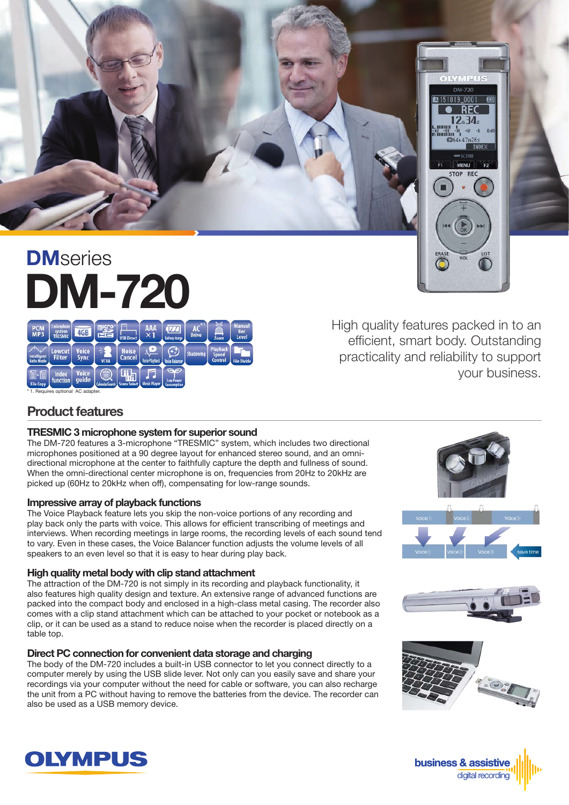

# DM-720 **DM**series

High quality features packed in to an efficient, smart body. Outstanding practicality and reliability to support your business.

#### \* 1. Requires optional AC adapter.

## Product features

#### TRESMIC 3 microphone system for superior sound

The DM-720 features a 3-microphone "TRESMIC" system, which includes two directional microphones positioned at a 90 degree layout for enhanced stereo sound, and an omnidirectional microphone at the center to faithfully capture the depth and fullness of sound. When the omni-directional center microphone is on, frequencies from 20Hz to 20kHz are picked up (60Hz to 20kHz when off), compensating for low-range sounds.

#### Impressive array of playback functions

The Voice Playback feature lets you skip the non-voice portions of any recording and play back only the parts with voice. This allows for efficient transcribing of meetings and interviews. When recording meetings in large rooms, the recording levels of each sound tend to vary. Even in these cases, the Voice Balancer function adjusts the volume levels of all speakers to an even level so that it is easy to hear during play back.

#### High quality metal body with clip stand attachment

The attraction of the DM-720 is not simply in its recording and playback functionality, it also features high quality design and texture. An extensive range of advanced functions are packed into the compact body and enclosed in a high-class metal casing. The recorder also comes with a clip stand attachment which can be attached to your pocket or notebook as a clip, or it can be used as a stand to reduce noise when the recorder is placed directly on a table top.

#### Direct PC connection for convenient data storage and charging

The body of the DM-720 includes a built-in USB connector to let you connect directly to a computer merely by using the USB slide lever. Not only can you easily save and share your recordings via your computer without the need for cable or software, you can also recharge the unit from a PC without having to remove the batteries from the device. The recorder can also be used as a USB memory device.